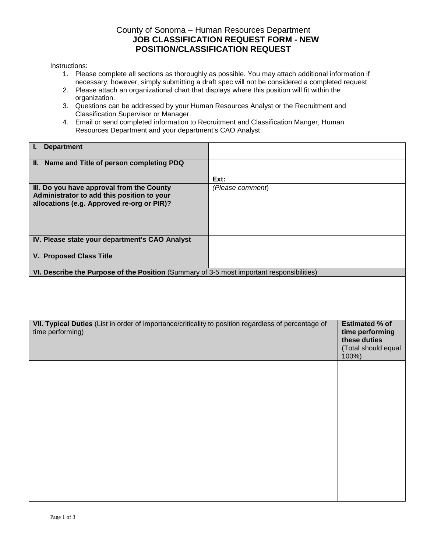## County of Sonoma – Human Resources Department **JOB CLASSIFICATION REQUEST FORM - NEW POSITION/CLASSIFICATION REQUEST**

Instructions:

- 1. Please complete all sections as thoroughly as possible. You may attach additional information if necessary; however, simply submitting a draft spec will not be considered a completed request
- 2. Please attach an organizational chart that displays where this position will fit within the organization.
- 3. Questions can be addressed by your Human Resources Analyst or the Recruitment and Classification Supervisor or Manager.
- 4. Email or send completed information to Recruitment and Classification Manger, Human Resources Department and your department's CAO Analyst.

| <b>Department</b><br>L.                                                                                                               |                  |                                                                                          |
|---------------------------------------------------------------------------------------------------------------------------------------|------------------|------------------------------------------------------------------------------------------|
| II. Name and Title of person completing PDQ                                                                                           |                  |                                                                                          |
|                                                                                                                                       | Ext:             |                                                                                          |
| III. Do you have approval from the County<br>Administrator to add this position to your<br>allocations (e.g. Approved re-org or PIR)? | (Please comment) |                                                                                          |
|                                                                                                                                       |                  |                                                                                          |
| IV. Please state your department's CAO Analyst                                                                                        |                  |                                                                                          |
| <b>V. Proposed Class Title</b>                                                                                                        |                  |                                                                                          |
| VI. Describe the Purpose of the Position (Summary of 3-5 most important responsibilities)                                             |                  |                                                                                          |
|                                                                                                                                       |                  |                                                                                          |
| VII. Typical Duties (List in order of importance/criticality to position regardless of percentage of<br>time performing)              |                  | <b>Estimated % of</b><br>time performing<br>these duties<br>(Total should equal<br>100%) |
|                                                                                                                                       |                  |                                                                                          |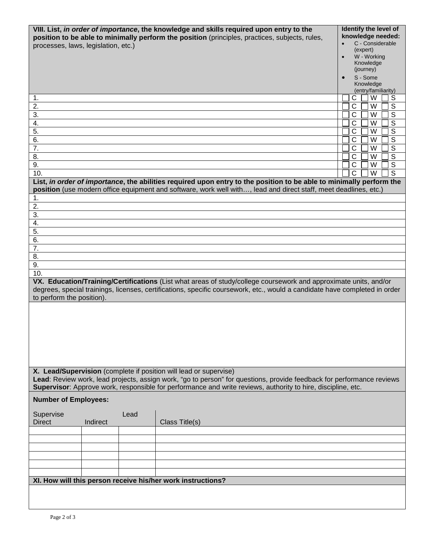| processes, laws, legislation, etc.)<br>1.<br>2.<br>3.<br>4.                                                                                                                                                                                                                                                |          |      | VIII. List, in order of importance, the knowledge and skills required upon entry to the<br>position to be able to minimally perform the position (principles, practices, subjects, rules,                                               | Identify the level of<br>knowledge needed:<br>C - Considerable<br>(expert)<br>W - Working<br>Knowledge<br>(journey)<br>S - Some<br>Knowledge<br>(entry/familiarity)<br>S<br>С<br>W<br>C<br>W<br>$\mathbb S$<br>$\overline{s}$<br>C<br>W<br>$\overline{s}$<br>C<br>W |
|------------------------------------------------------------------------------------------------------------------------------------------------------------------------------------------------------------------------------------------------------------------------------------------------------------|----------|------|-----------------------------------------------------------------------------------------------------------------------------------------------------------------------------------------------------------------------------------------|---------------------------------------------------------------------------------------------------------------------------------------------------------------------------------------------------------------------------------------------------------------------|
| 5.<br>6.                                                                                                                                                                                                                                                                                                   |          |      |                                                                                                                                                                                                                                         | $\overline{s}$<br>C<br>W<br>$\overline{s}$<br>C<br>W                                                                                                                                                                                                                |
| 7.                                                                                                                                                                                                                                                                                                         |          |      |                                                                                                                                                                                                                                         | $\overline{s}$<br>C<br>W                                                                                                                                                                                                                                            |
| 8.<br>9.                                                                                                                                                                                                                                                                                                   |          |      |                                                                                                                                                                                                                                         | $\overline{s}$<br>C<br>W<br>$\overline{s}$<br>C<br>W                                                                                                                                                                                                                |
| 10.                                                                                                                                                                                                                                                                                                        |          |      |                                                                                                                                                                                                                                         | $\overline{\text{C}}$<br>$\overline{\mathsf{W}}$<br>$\overline{s}$                                                                                                                                                                                                  |
|                                                                                                                                                                                                                                                                                                            |          |      | List, in order of importance, the abilities required upon entry to the position to be able to minimally perform the<br>position (use modern office equipment and software, work well with, lead and direct staff, meet deadlines, etc.) |                                                                                                                                                                                                                                                                     |
| 1.                                                                                                                                                                                                                                                                                                         |          |      |                                                                                                                                                                                                                                         |                                                                                                                                                                                                                                                                     |
| 2.<br>3.                                                                                                                                                                                                                                                                                                   |          |      |                                                                                                                                                                                                                                         |                                                                                                                                                                                                                                                                     |
| 4.                                                                                                                                                                                                                                                                                                         |          |      |                                                                                                                                                                                                                                         |                                                                                                                                                                                                                                                                     |
| 5.                                                                                                                                                                                                                                                                                                         |          |      |                                                                                                                                                                                                                                         |                                                                                                                                                                                                                                                                     |
| 6.<br>7.                                                                                                                                                                                                                                                                                                   |          |      |                                                                                                                                                                                                                                         |                                                                                                                                                                                                                                                                     |
| 8.                                                                                                                                                                                                                                                                                                         |          |      |                                                                                                                                                                                                                                         |                                                                                                                                                                                                                                                                     |
| 9.                                                                                                                                                                                                                                                                                                         |          |      |                                                                                                                                                                                                                                         |                                                                                                                                                                                                                                                                     |
| 10.<br>VX. Education/Training/Certifications (List what areas of study/college coursework and approximate units, and/or<br>degrees, special trainings, licenses, certifications, specific coursework, etc., would a candidate have completed in order<br>to perform the position).                         |          |      |                                                                                                                                                                                                                                         |                                                                                                                                                                                                                                                                     |
|                                                                                                                                                                                                                                                                                                            |          |      |                                                                                                                                                                                                                                         |                                                                                                                                                                                                                                                                     |
| X. Lead/Supervision (complete if position will lead or supervise)<br>Lead: Review work, lead projects, assign work, "go to person" for questions, provide feedback for performance reviews<br>Supervisor: Approve work, responsible for performance and write reviews, authority to hire, discipline, etc. |          |      |                                                                                                                                                                                                                                         |                                                                                                                                                                                                                                                                     |
| <b>Number of Employees:</b>                                                                                                                                                                                                                                                                                |          |      |                                                                                                                                                                                                                                         |                                                                                                                                                                                                                                                                     |
| Supervise<br><b>Direct</b>                                                                                                                                                                                                                                                                                 | Indirect | Lead | Class Title(s)                                                                                                                                                                                                                          |                                                                                                                                                                                                                                                                     |
|                                                                                                                                                                                                                                                                                                            |          |      |                                                                                                                                                                                                                                         |                                                                                                                                                                                                                                                                     |
|                                                                                                                                                                                                                                                                                                            |          |      |                                                                                                                                                                                                                                         |                                                                                                                                                                                                                                                                     |
|                                                                                                                                                                                                                                                                                                            |          |      |                                                                                                                                                                                                                                         |                                                                                                                                                                                                                                                                     |
|                                                                                                                                                                                                                                                                                                            |          |      |                                                                                                                                                                                                                                         |                                                                                                                                                                                                                                                                     |
|                                                                                                                                                                                                                                                                                                            |          |      | XI. How will this person receive his/her work instructions?                                                                                                                                                                             |                                                                                                                                                                                                                                                                     |
|                                                                                                                                                                                                                                                                                                            |          |      |                                                                                                                                                                                                                                         |                                                                                                                                                                                                                                                                     |